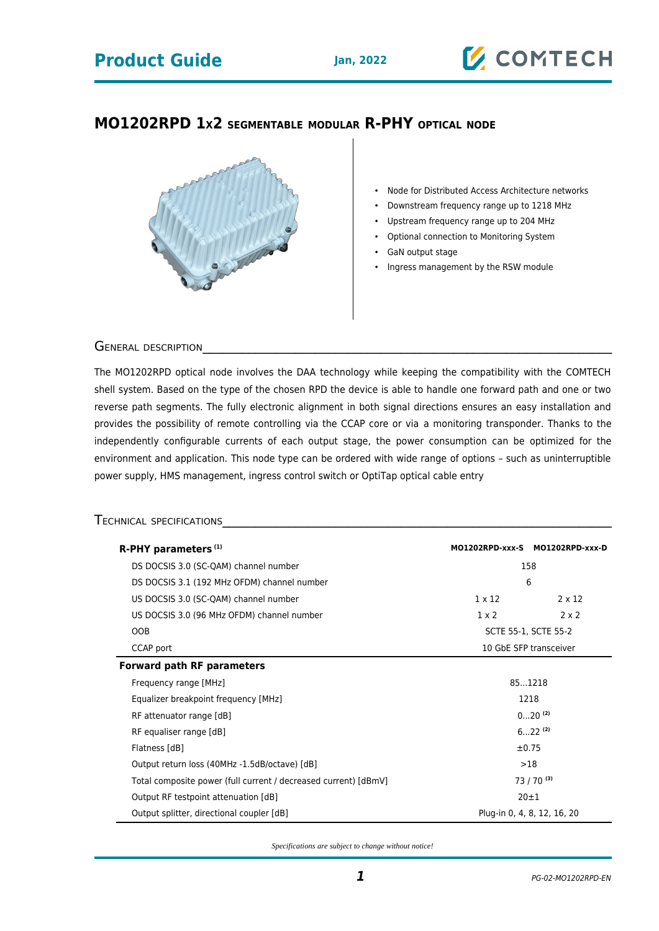## **MO1202RPD 1X2 SEGMENTABLE MODULAR R-PHY OPTICAL NODE**



- Node for Distributed Access Architecture networks
- Downstream frequency range up to 1218 MHz
- Upstream frequency range up to 204 MHz
- Optional connection to Monitoring System
- GaN output stage
- Ingress management by the RSW module

GENERAL DESCRIPTION

The MO1202RPD optical node involves the DAA technology while keeping the compatibility with the COMTECH shell system. Based on the type of the chosen RPD the device is able to handle one forward path and one or two reverse path segments. The fully electronic alignment in both signal directions ensures an easy installation and provides the possibility of remote controlling via the CCAP core or via a monitoring transponder. Thanks to the independently configurable currents of each output stage, the power consumption can be optimized for the environment and application. This node type can be ordered with wide range of options – such as uninterruptible power supply, HMS management, ingress control switch or OptiTap optical cable entry

### TECHNICAL SPECIFICATIONS

| R-PHY parameters <sup>(1)</sup>                                 |                             | MO1202RPD-xxx-S MO1202RPD-xxx-D |
|-----------------------------------------------------------------|-----------------------------|---------------------------------|
| DS DOCSIS 3.0 (SC-QAM) channel number                           | 158                         |                                 |
| DS DOCSIS 3.1 (192 MHz OFDM) channel number                     | 6                           |                                 |
| US DOCSIS 3.0 (SC-QAM) channel number                           | $1 \times 12$               | $2 \times 12$                   |
| US DOCSIS 3.0 (96 MHz OFDM) channel number                      | $1 \times 2$                | $2 \times 2$                    |
| <b>OOB</b>                                                      | SCTE 55-1, SCTE 55-2        |                                 |
| CCAP port                                                       | 10 GbE SFP transceiver      |                                 |
| <b>Forward path RF parameters</b>                               |                             |                                 |
| Frequency range [MHz]                                           | 851218                      |                                 |
| Equalizer breakpoint frequency [MHz]                            | 1218                        |                                 |
| RF attenuator range [dB]                                        | $020^{(2)}$                 |                                 |
| RF equaliser range [dB]                                         | $622^{(2)}$                 |                                 |
| Flatness [dB]                                                   | ±0.75                       |                                 |
| Output return loss (40MHz -1.5dB/octave) [dB]                   | >18                         |                                 |
| Total composite power (full current / decreased current) [dBmV] | $73/70^{(3)}$               |                                 |
| Output RF testpoint attenuation [dB]                            | $20 + 1$                    |                                 |
| Output splitter, directional coupler [dB]                       | Plug-in 0, 4, 8, 12, 16, 20 |                                 |

*Specifications are subject to change without notice!*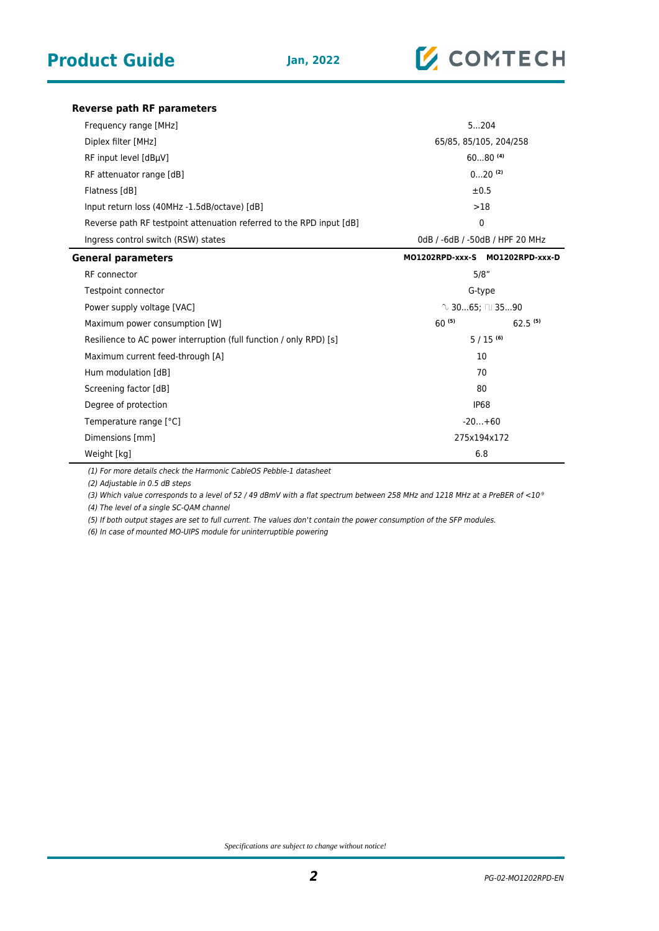

**Reverse path RF parameters**

| Frequency range [MHz]                                                | 5204                            |  |
|----------------------------------------------------------------------|---------------------------------|--|
| Diplex filter [MHz]                                                  | 65/85, 85/105, 204/258          |  |
| RF input level [dBµV]                                                | $6080^{(4)}$                    |  |
| RF attenuator range [dB]                                             | $020$ (2)                       |  |
| Flatness [dB]                                                        | ±0.5                            |  |
| Input return loss (40MHz -1.5dB/octave) [dB]                         | >18                             |  |
| Reverse path RF testpoint attenuation referred to the RPD input [dB] | $\mathbf 0$                     |  |
| Ingress control switch (RSW) states                                  | 0dB / -6dB / -50dB / HPF 20 MHz |  |
| <b>General parameters</b>                                            | MO1202RPD-xxx-S MO1202RPD-xxx-D |  |
| RF connector                                                         | 5/8"                            |  |
| Testpoint connector                                                  | G-type                          |  |
| Power supply voltage [VAC]                                           | $\degree$ 3065; □ 3590          |  |
| Maximum power consumption [W]                                        | $60^{(5)}$<br>$62.5^{(5)}$      |  |
| Resilience to AC power interruption (full function / only RPD) [s]   | $5/15^{(6)}$                    |  |
| Maximum current feed-through [A]                                     | 10                              |  |
| Hum modulation [dB]                                                  | 70                              |  |
| Screening factor [dB]                                                | 80                              |  |
| Degree of protection                                                 | <b>IP68</b>                     |  |
| Temperature range [°C]                                               | $-20+60$                        |  |
| Dimensions [mm]                                                      | 275x194x172                     |  |
| Weight [kg]                                                          | 6.8                             |  |

(1) For more details check the Harmonic CableOS Pebble-1 datasheet

(2) Adjustable in 0.5 dB steps

(3) Which value corresponds to a level of 52 / 49 dBmV with a flat spectrum between 258 MHz and 1218 MHz at a PreBER of <10°

(4) The level of a single SC-QAM channel

(5) If both output stages are set to full current. The values don't contain the power consumption of the SFP modules.

(6) In case of mounted MO-UIPS module for uninterruptible powering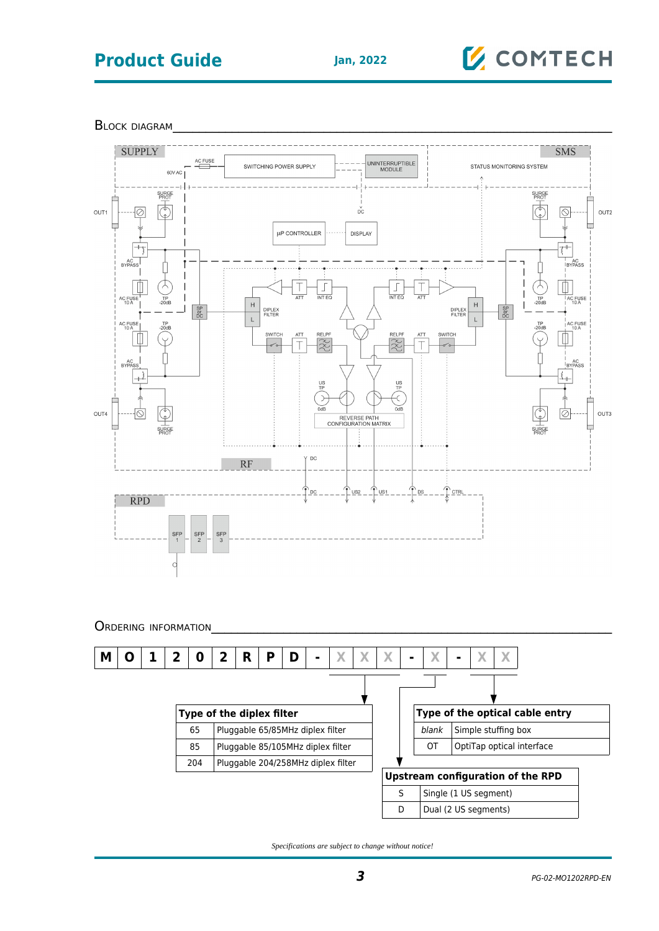## **Product Guide Jan, 2022**

# **Z** COMTECH

BLOCK DIAGRAM



*Specifications are subject to change without notice!*